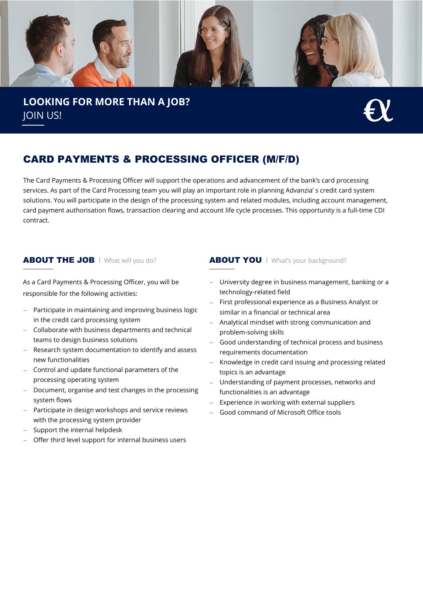

**LOOKING FOR MORE THAN A JOB?** JOIN US!

# CARD PAYMENTS & PROCESSING OFFICER (M/F/D)

The Card Payments & Processing Officer will support the operations and advancement of the bank's card processing services. As part of the Card Processing team you will play an important role in planning Advanzia' s credit card system solutions. You will participate in the design of the processing system and related modules, including account management, card payment authorisation flows, transaction clearing and account life cycle processes. This opportunity is a full-time CDI contract.

As a Card Payments & Processing Officer, you will be responsible for the following activities:

- − Participate in maintaining and improving business logic in the credit card processing system
- − Collaborate with business departments and technical teams to design business solutions
- Research system documentation to identify and assess new functionalities
- − Control and update functional parameters of the processing operating system
- Document, organise and test changes in the processing system flows
- − Participate in design workshops and service reviews with the processing system provider
- Support the internal helpdesk
- Offer third level support for internal business users

## **ABOUT THE JOB** I What will you do? **ABOUT YOU** I What's your background?

- − University degree in business management, banking or a technology-related field
- First professional experience as a Business Analyst or similar in a financial or technical area
- − Analytical mindset with strong communication and problem-solving skills
- Good understanding of technical process and business requirements documentation
- − Knowledge in credit card issuing and processing related topics is an advantage
- Understanding of payment processes, networks and functionalities is an advantage
- − Experience in working with external suppliers
- − Good command of Microsoft Office tools